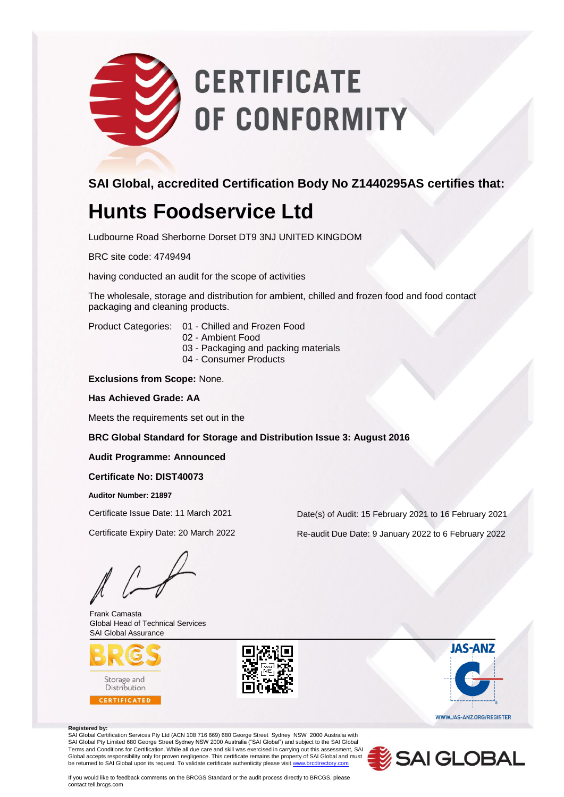# **CERTIFICATE** OF CONFORMITY

**SAI Global, accredited Certification Body No Z1440295AS certifies that:**

# **Hunts Foodservice Ltd**

Ludbourne Road Sherborne Dorset DT9 3NJ UNITED KINGDOM

BRC site code: 4749494

having conducted an audit for the scope of activities

The wholesale, storage and distribution for ambient, chilled and frozen food and food contact packaging and cleaning products.

Product Categories: 01 - Chilled and Frozen Food

- 02 Ambient Food
- 03 Packaging and packing materials
- 04 Consumer Products

**Exclusions from Scope:** None.

### **Has Achieved Grade: AA**

Meets the requirements set out in the

### **BRC Global Standard for Storage and Distribution Issue 3: August 2016**

### **Audit Programme: Announced**

### **Certificate No: DIST40073**

**Auditor Number: 21897**

Frank Camasta Global Head of Technical Services SAI Global Assurance





**JAS-ANZ** WWW.JAS-ANZ.ORG/REGISTER

#### **Registered by:**

SAI Global Certification Services Pty Ltd (ACN 108 716 669) 680 George Street Sydney NSW 2000 Australia with<br>SAI Global Pty Limited 680 George Street Sydney NSW 2000 Australia ("SAI Global") and subject to the SAI Global Terms and Conditions for Certification. While all due care and skill was exercised in carrying out this assessment, SAI Global accepts responsibility only for proven negligence. This certificate remains the property of SAI Global and must<br>be returned to SAI Global upon its request. To validate certificate authenticity please visit <u>www.brcd</u>



If you would like to feedback comments on the BRCGS Standard or the audit process directly to BRCGS, please contact tell.brcgs.com

Certificate Issue Date: 11 March 2021 Date(s) of Audit: 15 February 2021 to 16 February 2021

Certificate Expiry Date: 20 March 2022 Re-audit Due Date: 9 January 2022 to 6 February 2022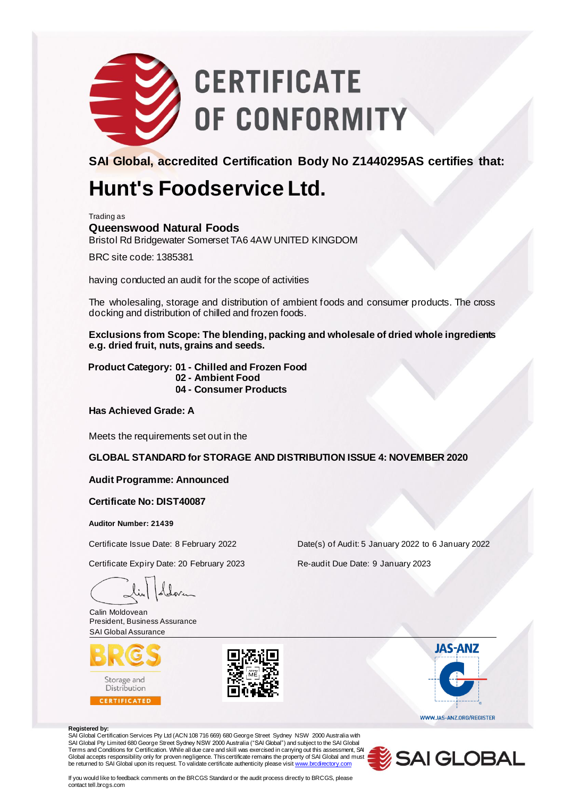

**SAI Global, accredited Certification Body No Z1440295AS certifies that:**

## **Hunt's Foodservice Ltd.**

Trading as

**Queenswood Natural Foods** Bristol Rd Bridgewater Somerset TA6 4AW UNITED KINGDOM

BRC site code: 1385381

having conducted an audit for the scope of activities

The wholesaling, storage and distribution of ambient foods and consumer products. The cross docking and distribution of chilled and frozen foods.

**Exclusions from Scope: The blending, packing and wholesale of dried whole ingredients e.g. dried fruit, nuts, grains and seeds.**

**Product Category: 01 - Chilled and Frozen Food 02 - Ambient Food 04 - Consumer Products**

**Has Achieved Grade: A**

Meets the requirements set out in the

**GLOBAL STANDARD for STORAGE AND DISTRIBUTION ISSUE 4: NOVEMBER 2020**

**Audit Programme: Announced**

**Certificate No: DIST40087**

**Auditor Number: 21439**

Certificate Expiry Date: 20 February 2023 Re-audit Due Date: 9 January 2023

Calin Moldovean President, Business Assurance SAI Global Assurance





Certificate Issue Date: 8 February 2022 Date(s) of Audit: 5 January 2022 to 6 January 2022

#### **Registered by:**

SAI Global Certification Services Pty Ltd (ACN 108 716 669) 680 George Street Sydney NSW 2000 Australia with SAI Global Pty Limited 680 George Street Sydney NSW 2000 Australia ("SAI Gbbal") and subject to the SAI Global<br>Terms and Conditions for Certification. While all due care and skill was exercised in carrying out this assessm Global accepts responsibility only for proven negligence. This certificate remains the property of SAI Global and must<br>be returned to SAI Global upon its request. To validate certificate authenticity please visit <u>www.brcd</u>



**JAS-ANZ** 

WWW.JAS-ANZ.ORG/REGISTER

If you would like to feedback comments on the BRCGS Standard or the audit process directly to BRCGS, please contact tell.brcgs.com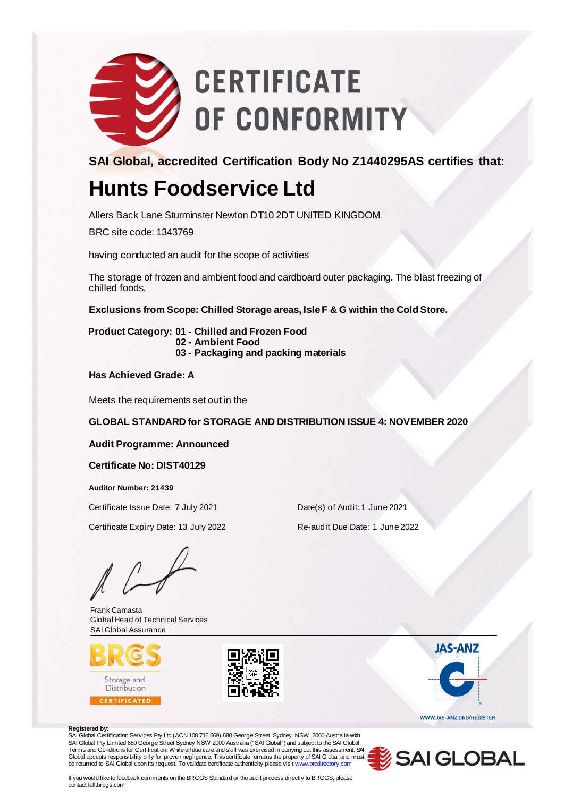

**SAI Global, accredited Certification Body No Z1440295AS certifies that:**

## **Hunts Foodservice Ltd**

Allers Back Lane Sturminster Newton DT10 2DT UNITED KINGDOM

BRC site code: 1343769

having conducted an audit for the scope of activities

The storage of frozen and ambient food and cardboard outer packaging. The blast freezing of chilled foods.

**Exclusions from Scope: Chilled Storage areas, Isle F & G within the Cold Store.**

**Product Category: 01 - Chilled and Frozen Food 02 - Ambient Food 03 - Packaging and packing materials**

**Has Achieved Grade: A**

Meets the requirements set out in the

**GLOBAL STANDARD for STORAGE AND DISTRIBUTION ISSUE 4: NOVEMBER 2020**

### **Audit Programme: Announced**

### **Certificate No: DIST40129**

**Auditor Number: 21439**

Certificate Issue Date: 7 July 2021 Date(s) of Audit: 1 June 2021

Certificate Expiry Date: 13 July 2022 Re-audit Due Date: 1 June 2022

Frank Camasta Global Head of Technical Services SAI Global Assurance





**JAS-ANZ** WWW.JAS-ANZ.ORG/REGISTER

#### **Registered by:**

SAI Global Certification Services Pty Ltd (ACN 108 716 669) 680 George Street Sydney NSW 2000 Australia with SAI Global Pty Limited 680 George Street Sydney NSW 2000 Australia ("SAI Gbbal") and subject to the SAI Global<br>Terms and Conditions for Certification. While all due care and skill was exercised in carrying out this assessm Global accepts responsibility only for proven negligence. This certificate remains the property of SAI Global and must<br>be returned to SAI Global upon its request. To validate certificate authenticity please visit <u>www.brcd</u>



If you would like to feedback comments on the BRCGS Standard or the audit process directly to BRCGS, please contact tell.brcgs.com